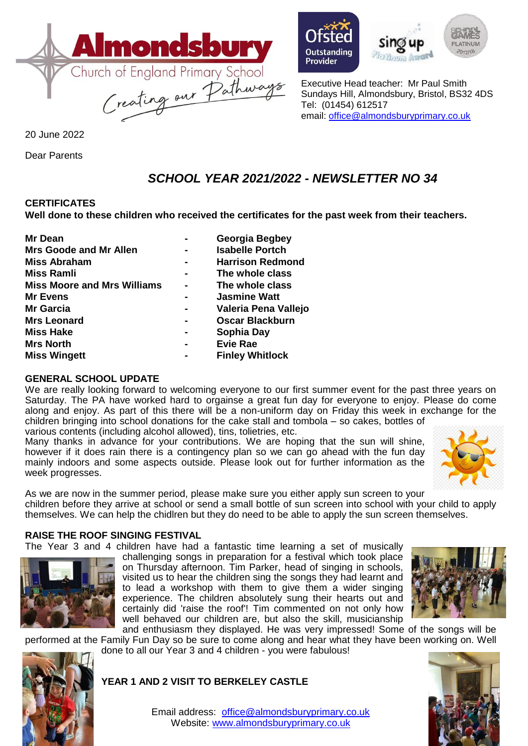

20 June 2022

Dear Parents

# Provider



Executive Head teacher: Mr Paul Smith Sundays Hill, Almondsbury, Bristol, BS32 4DS Tel: (01454) 612517 email: [office@almondsburyprimary.co.uk](mailto:office@almondsburyprimary.co.uk)

# *SCHOOL YEAR 2021/2022 - NEWSLETTER NO 34*

# **CERTIFICATES**

**Well done to these children who received the certificates for the past week from their teachers.** 

| Mr Dean                            |                | <b>Georgia Begbey</b>   |
|------------------------------------|----------------|-------------------------|
| <b>Mrs Goode and Mr Allen</b>      |                | <b>Isabelle Portch</b>  |
| <b>Miss Abraham</b>                |                | <b>Harrison Redmond</b> |
| <b>Miss Ramli</b>                  |                | The whole class         |
| <b>Miss Moore and Mrs Williams</b> | $\blacksquare$ | The whole class         |
| <b>Mr Evens</b>                    |                | <b>Jasmine Watt</b>     |
| <b>Mr Garcia</b>                   |                | Valeria Pena Vallejo    |
| <b>Mrs Leonard</b>                 |                | <b>Oscar Blackburn</b>  |
| <b>Miss Hake</b>                   |                | Sophia Day              |
| <b>Mrs North</b>                   |                | <b>Evie Rae</b>         |
| <b>Miss Wingett</b>                |                | <b>Finley Whitlock</b>  |

# **GENERAL SCHOOL UPDATE**

We are really looking forward to welcoming everyone to our first summer event for the past three years on Saturday. The PA have worked hard to orgainse a great fun day for everyone to enjoy. Please do come along and enjoy. As part of this there will be a non-uniform day on Friday this week in exchange for the children bringing into school donations for the cake stall and tombola – so cakes, bottles of various contents (including alcohol allowed), tins, tolietries, etc.

Many thanks in advance for your contributions. We are hoping that the sun will shine, however if it does rain there is a contingency plan so we can go ahead with the fun day mainly indoors and some aspects outside. Please look out for further information as the week progresses.



As we are now in the summer period, please make sure you either apply sun screen to your children before they arrive at school or send a small bottle of sun screen into school with your child to apply themselves. We can help the chidlren but they do need to be able to apply the sun screen themselves.

# **RAISE THE ROOF SINGING FESTIVAL**

The Year 3 and 4 children have had a fantastic time learning a set of musically



challenging songs in preparation for a festival which took place on Thursday afternoon. Tim Parker, head of singing in schools, visited us to hear the children sing the songs they had learnt and to lead a workshop with them to give them a wider singing experience. The children absolutely sung their hearts out and certainly did 'raise the roof'! Tim commented on not only how well behaved our children are, but also the skill, musicianship



and enthusiasm they displayed. He was very impressed! Some of the songs will be performed at the Family Fun Day so be sure to come along and hear what they have been working on. Well done to all our Year 3 and 4 children - you were fabulous!



# **YEAR 1 AND 2 VISIT TO BERKELEY CASTLE**



Email address: [office@almondsburyprimary.co.uk](mailto:office@almondsburyprimary.co.uk) Website: [www.almondsburyprimary.co.uk](http://www.almondsburyprimary.co.uk/)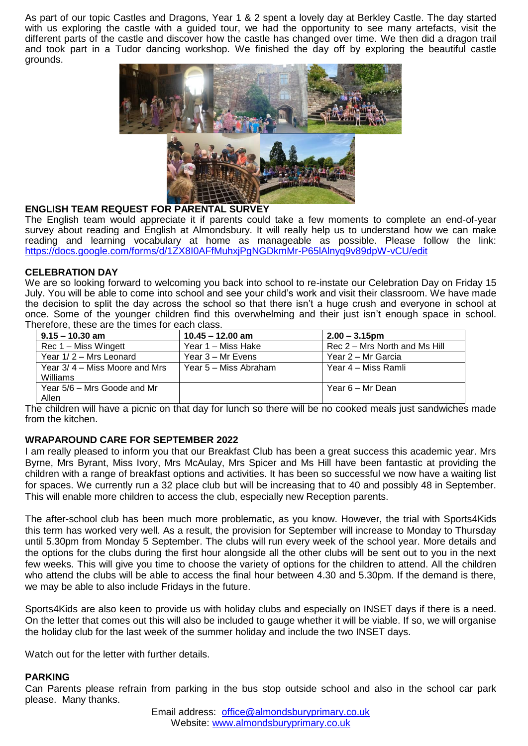As part of our topic Castles and Dragons, Year 1 & 2 spent a lovely day at Berkley Castle. The day started with us exploring the castle with a guided tour, we had the opportunity to see many artefacts, visit the different parts of the castle and discover how the castle has changed over time. We then did a dragon trail and took part in a Tudor dancing workshop. We finished the day off by exploring the beautiful castle grounds.



### **ENGLISH TEAM REQUEST FOR PARENTAL SURVEY**

The English team would appreciate it if parents could take a few moments to complete an end-of-year survey about reading and English at Almondsbury. It will really help us to understand how we can make reading and learning vocabulary at home as manageable as possible. Please follow the link: <https://docs.google.com/forms/d/1ZX8I0AFfMuhxjPgNGDkmMr-P65lAlnyq9v89dpW-vCU/edit>

#### **CELEBRATION DAY**

We are so looking forward to welcoming you back into school to re-instate our Celebration Day on Friday 15 July. You will be able to come into school and see your child's work and visit their classroom. We have made the decision to split the day across the school so that there isn't a huge crush and everyone in school at once. Some of the younger children find this overwhelming and their just isn't enough space in school. Therefore, these are the times for each class.

| $9.15 - 10.30$ am                           | $10.45 - 12.00$ am    | $2.00 - 3.15$ pm              |
|---------------------------------------------|-----------------------|-------------------------------|
| $Rec 1 - Miss Wingett$                      | Year 1 – Miss Hake    | Rec 2 – Mrs North and Ms Hill |
| Year 1/2 - Mrs Leonard                      | Year 3 – Mr Evens     | Year 2 – Mr Garcia            |
| Year $3/4$ – Miss Moore and Mrs<br>Williams | Year 5 – Miss Abraham | Year 4 – Miss Ramli           |
| Year 5/6 – Mrs Goode and Mr<br>Allen        |                       | Year 6 – Mr Dean              |

The children will have a picnic on that day for lunch so there will be no cooked meals just sandwiches made from the kitchen.

#### **WRAPAROUND CARE FOR SEPTEMBER 2022**

I am really pleased to inform you that our Breakfast Club has been a great success this academic year. Mrs Byrne, Mrs Byrant, Miss Ivory, Mrs McAulay, Mrs Spicer and Ms Hill have been fantastic at providing the children with a range of breakfast options and activities. It has been so successful we now have a waiting list for spaces. We currently run a 32 place club but will be increasing that to 40 and possibly 48 in September. This will enable more children to access the club, especially new Reception parents.

The after-school club has been much more problematic, as you know. However, the trial with Sports4Kids this term has worked very well. As a result, the provision for September will increase to Monday to Thursday until 5.30pm from Monday 5 September. The clubs will run every week of the school year. More details and the options for the clubs during the first hour alongside all the other clubs will be sent out to you in the next few weeks. This will give you time to choose the variety of options for the children to attend. All the children who attend the clubs will be able to access the final hour between 4.30 and 5.30pm. If the demand is there, we may be able to also include Fridays in the future.

Sports4Kids are also keen to provide us with holiday clubs and especially on INSET days if there is a need. On the letter that comes out this will also be included to gauge whether it will be viable. If so, we will organise the holiday club for the last week of the summer holiday and include the two INSET days.

Watch out for the letter with further details.

#### **PARKING**

Can Parents please refrain from parking in the bus stop outside school and also in the school car park please. Many thanks.

> Email address: [office@almondsburyprimary.co.uk](mailto:office@almondsburyprimary.co.uk) Website: [www.almondsburyprimary.co.uk](http://www.almondsburyprimary.co.uk/)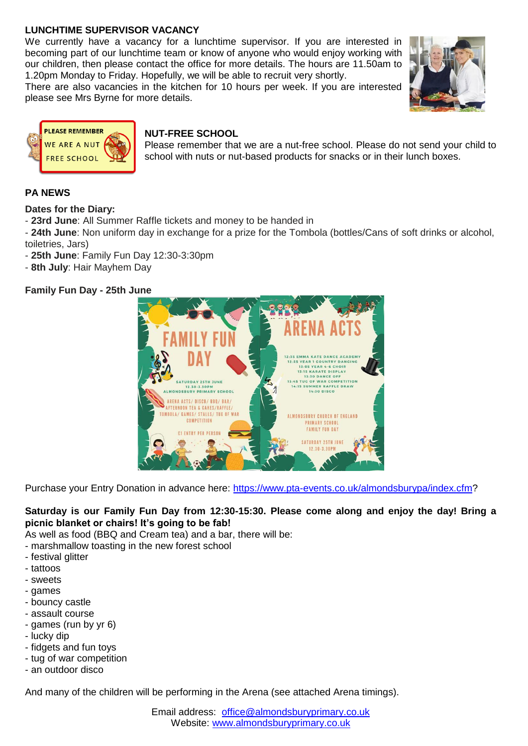# **LUNCHTIME SUPERVISOR VACANCY**

We currently have a vacancy for a lunchtime supervisor. If you are interested in becoming part of our lunchtime team or know of anyone who would enjoy working with our children, then please contact the office for more details. The hours are 11.50am to 1.20pm Monday to Friday. Hopefully, we will be able to recruit very shortly.

There are also vacancies in the kitchen for 10 hours per week. If you are interested please see Mrs Byrne for more details.





# **NUT-FREE SCHOOL**

Please remember that we are a nut-free school. Please do not send your child to school with nuts or nut-based products for snacks or in their lunch boxes.

# **PA NEWS**

**Dates for the Diary:**

- **23rd June**: All Summer Raffle tickets and money to be handed in

- **24th June**: Non uniform day in exchange for a prize for the Tombola (bottles/Cans of soft drinks or alcohol, toiletries, Jars)

- **25th June**: Family Fun Day 12:30-3:30pm
- **8th July**: Hair Mayhem Day

# **Family Fun Day - 25th June**



Purchase your Entry Donation in advance here: [https://www.pta-events.co.uk/almondsburypa/index.cfm?](https://www.pta-events.co.uk/almondsburypa/index.cfm)

### **Saturday is our Family Fun Day from 12:30-15:30. Please come along and enjoy the day! Bring a picnic blanket or chairs! It's going to be fab!**

As well as food (BBQ and Cream tea) and a bar, there will be:

- marshmallow toasting in the new forest school
- festival glitter
- tattoos
- sweets
- games
- bouncy castle
- assault course
- games (run by yr 6)
- lucky dip
- fidgets and fun toys
- tug of war competition
- an outdoor disco

And many of the children will be performing in the Arena (see attached Arena timings).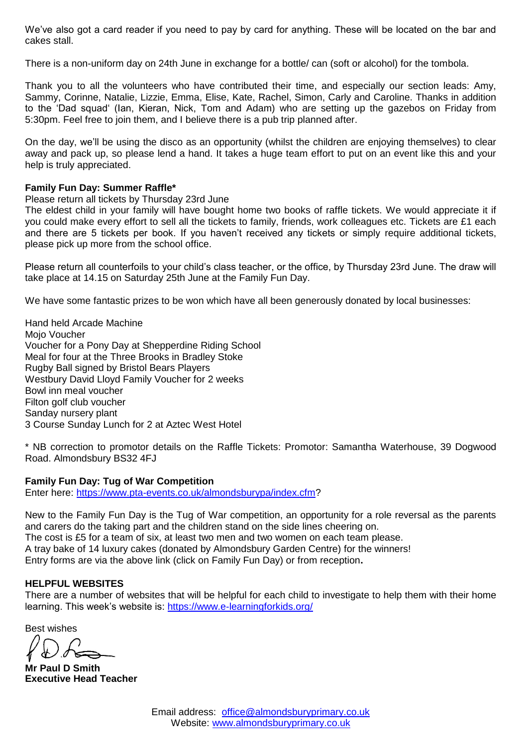We've also got a card reader if you need to pay by card for anything. These will be located on the bar and cakes stall.

There is a non-uniform day on 24th June in exchange for a bottle/ can (soft or alcohol) for the tombola.

Thank you to all the volunteers who have contributed their time, and especially our section leads: Amy, Sammy, Corinne, Natalie, Lizzie, Emma, Elise, Kate, Rachel, Simon, Carly and Caroline. Thanks in addition to the 'Dad squad' (Ian, Kieran, Nick, Tom and Adam) who are setting up the gazebos on Friday from 5:30pm. Feel free to join them, and I believe there is a pub trip planned after.

On the day, we'll be using the disco as an opportunity (whilst the children are enjoying themselves) to clear away and pack up, so please lend a hand. It takes a huge team effort to put on an event like this and your help is truly appreciated.

#### **Family Fun Day: Summer Raffle\***

Please return all tickets by Thursday 23rd June

The eldest child in your family will have bought home two books of raffle tickets. We would appreciate it if you could make every effort to sell all the tickets to family, friends, work colleagues etc. Tickets are £1 each and there are 5 tickets per book. If you haven't received any tickets or simply require additional tickets, please pick up more from the school office.

Please return all counterfoils to your child's class teacher, or the office, by Thursday 23rd June. The draw will take place at 14.15 on Saturday 25th June at the Family Fun Day.

We have some fantastic prizes to be won which have all been generously donated by local businesses:

Hand held Arcade Machine Moio Voucher Voucher for a Pony Day at Shepperdine Riding School Meal for four at the Three Brooks in Bradley Stoke Rugby Ball signed by Bristol Bears Players Westbury David Lloyd Family Voucher for 2 weeks Bowl inn meal voucher Filton golf club voucher Sanday nursery plant 3 Course Sunday Lunch for 2 at Aztec West Hotel

\* NB correction to promotor details on the Raffle Tickets: Promotor: Samantha Waterhouse, 39 Dogwood Road. Almondsbury BS32 4FJ

#### **Family Fun Day: Tug of War Competition**

Enter here: [https://www.pta-events.co.uk/almondsburypa/index.cfm?](https://www.pta-events.co.uk/almondsburypa/index.cfm)

New to the Family Fun Day is the Tug of War competition, an opportunity for a role reversal as the parents and carers do the taking part and the children stand on the side lines cheering on. The cost is £5 for a team of six, at least two men and two women on each team please. A tray bake of 14 luxury cakes (donated by Almondsbury Garden Centre) for the winners!

Entry forms are via the above link (click on Family Fun Day) or from reception**.**

#### **HELPFUL WEBSITES**

There are a number of websites that will be helpful for each child to investigate to help them with their home learning. This week's website is: <https://www.e-learningforkids.org/>

Best wishes

**Mr Paul D Smith Executive Head Teacher**